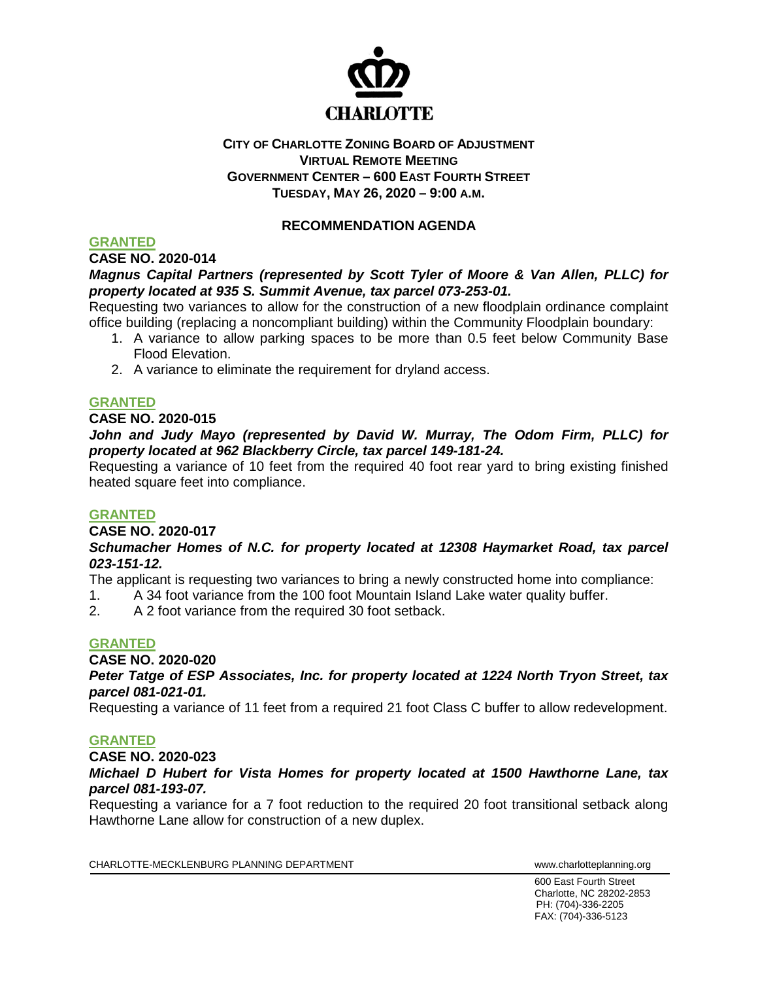

# **CITY OF CHARLOTTE ZONING BOARD OF ADJUSTMENT VIRTUAL REMOTE MEETING GOVERNMENT CENTER – 600 EAST FOURTH STREET TUESDAY, MAY 26, 2020 – 9:00 A.M.**

# **RECOMMENDATION AGENDA**

# **GRANTED**

**CASE NO. 2020-014**

# *Magnus Capital Partners (represented by Scott Tyler of Moore & Van Allen, PLLC) for property located at 935 S. Summit Avenue, tax parcel 073-253-01.*

Requesting two variances to allow for the construction of a new floodplain ordinance complaint office building (replacing a noncompliant building) within the Community Floodplain boundary:

- 1. A variance to allow parking spaces to be more than 0.5 feet below Community Base Flood Elevation.
- 2. A variance to eliminate the requirement for dryland access.

## **GRANTED**

# **CASE NO. 2020-015**

*John and Judy Mayo (represented by David W. Murray, The Odom Firm, PLLC) for property located at 962 Blackberry Circle, tax parcel 149-181-24.* 

Requesting a variance of 10 feet from the required 40 foot rear yard to bring existing finished heated square feet into compliance.

### **GRANTED**

**CASE NO. 2020-017**

## *Schumacher Homes of N.C. for property located at 12308 Haymarket Road, tax parcel 023-151-12.*

The applicant is requesting two variances to bring a newly constructed home into compliance:

1. A 34 foot variance from the 100 foot Mountain Island Lake water quality buffer.

2. A 2 foot variance from the required 30 foot setback.

# **GRANTED**

**CASE NO. 2020-020**

### *Peter Tatge of ESP Associates, Inc. for property located at 1224 North Tryon Street, tax parcel 081-021-01.*

Requesting a variance of 11 feet from a required 21 foot Class C buffer to allow redevelopment.

# **GRANTED**

**CASE NO. 2020-023**

## *Michael D Hubert for Vista Homes for property located at 1500 Hawthorne Lane, tax parcel 081-193-07.*

Requesting a variance for a 7 foot reduction to the required 20 foot transitional setback along Hawthorne Lane allow for construction of a new duplex.

CHARLOTTE-MECKLENBURG PLANNING DEPARTMENT WWW.charlotteplanning.org

600 East Fourth Street Charlotte, NC 28202-2853 PH: (704)-336-2205 FAX: (704)-336-5123